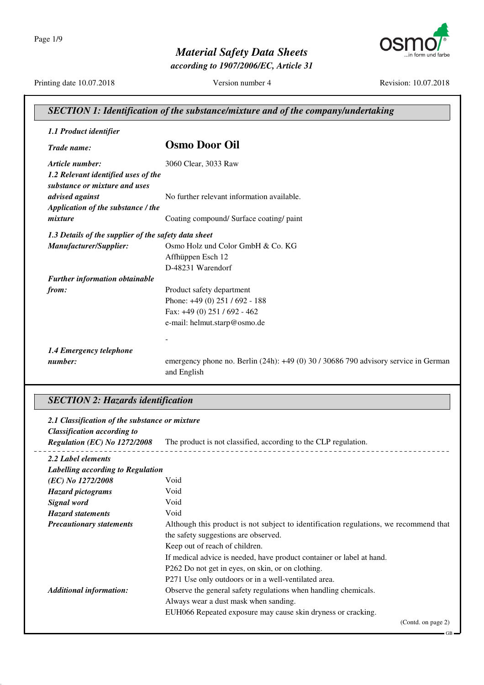Page 1/9



# *Material Safety Data Sheets*

*according to 1907/2006/EC, Article 31*

Printing date 10.07.2018 Version number 4 Revision: 10.07.2018

| <b>SECTION 1: Identification of the substance/mixture and of the company/undertaking</b> |                                                                                                        |  |
|------------------------------------------------------------------------------------------|--------------------------------------------------------------------------------------------------------|--|
| 1.1 Product identifier                                                                   |                                                                                                        |  |
| Trade name:                                                                              | <b>Osmo Door Oil</b>                                                                                   |  |
| Article number:                                                                          | 3060 Clear, 3033 Raw                                                                                   |  |
| 1.2 Relevant identified uses of the<br>substance or mixture and uses                     |                                                                                                        |  |
| advised against                                                                          | No further relevant information available.                                                             |  |
| Application of the substance / the                                                       |                                                                                                        |  |
| mixture                                                                                  | Coating compound/ Surface coating/ paint                                                               |  |
| 1.3 Details of the supplier of the safety data sheet                                     |                                                                                                        |  |
| Manufacturer/Supplier:                                                                   | Osmo Holz und Color GmbH & Co. KG                                                                      |  |
|                                                                                          | Affhüppen Esch 12                                                                                      |  |
|                                                                                          | D-48231 Warendorf                                                                                      |  |
| <b>Further information obtainable</b>                                                    |                                                                                                        |  |
| from:                                                                                    | Product safety department                                                                              |  |
|                                                                                          | Phone: +49 (0) 251 / 692 - 188                                                                         |  |
|                                                                                          | Fax: +49 (0) 251 / 692 - 462                                                                           |  |
|                                                                                          | e-mail: helmut.starp@osmo.de                                                                           |  |
|                                                                                          |                                                                                                        |  |
| 1.4 Emergency telephone                                                                  |                                                                                                        |  |
| number:                                                                                  | emergency phone no. Berlin $(24h)$ : $+49(0)$ 30 / 30686 790 advisory service in German<br>and English |  |

### *SECTION 2: Hazards identification*

 $\overline{a}$ 

| 2.1 Classification of the substance or mixture<br><b>Classification according to</b> |                                                                                       |
|--------------------------------------------------------------------------------------|---------------------------------------------------------------------------------------|
| <b>Regulation (EC) No 1272/2008</b>                                                  | The product is not classified, according to the CLP regulation.                       |
| 2.2 Label elements                                                                   |                                                                                       |
| Labelling according to Regulation                                                    |                                                                                       |
| (EC) No 1272/2008                                                                    | Void                                                                                  |
| <b>Hazard pictograms</b>                                                             | Void                                                                                  |
| Signal word                                                                          | Void                                                                                  |
| <b>Hazard statements</b>                                                             | Void                                                                                  |
| <b>Precautionary statements</b>                                                      | Although this product is not subject to identification regulations, we recommend that |
|                                                                                      | the safety suggestions are observed.                                                  |
|                                                                                      | Keep out of reach of children.                                                        |
|                                                                                      | If medical advice is needed, have product container or label at hand.                 |
|                                                                                      | P262 Do not get in eyes, on skin, or on clothing.                                     |
|                                                                                      | P271 Use only outdoors or in a well-ventilated area.                                  |
| <b>Additional information:</b>                                                       | Observe the general safety regulations when handling chemicals.                       |
|                                                                                      | Always wear a dust mask when sanding.                                                 |
|                                                                                      | EUH066 Repeated exposure may cause skin dryness or cracking.                          |
|                                                                                      | (Contd. on page 2)                                                                    |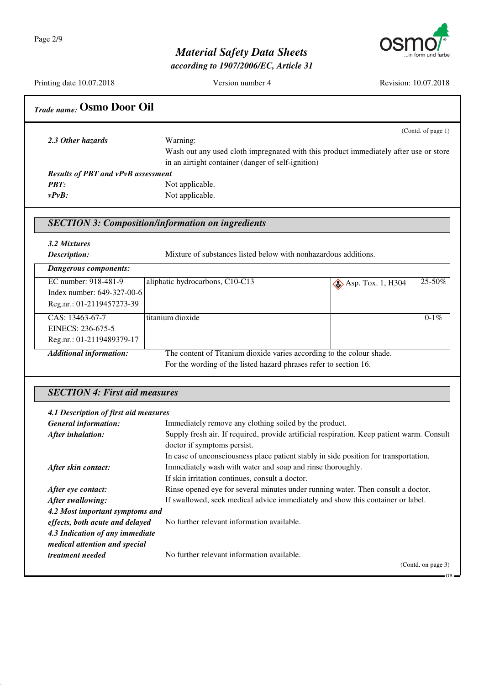

*according to 1907/2006/EC, Article 31*

Printing date 10.07.2018 Version number 4 Revision: 10.07.2018 *Trade name:* **Osmo Door Oil** (Contd. of page 1) *2.3 Other hazards* Warning: Wash out any used cloth impregnated with this product immediately after use or store in an airtight container (danger of self-ignition) *Results of PBT and vPvB assessment PBT:* Not applicable. *vPvB:* Not applicable. *SECTION 3: Composition/information on ingredients 3.2 Mixtures Description:* Mixture of substances listed below with nonhazardous additions. *Dangerous components:* EC number: 918-481-9 Index number: 649-327-00-6 Reg.nr.: 01-2119457273-39 aliphatic hydrocarbons, C10-C13  $\bigotimes$  Asp. Tox. 1, H304 25-50% CAS: 13463-67-7 EINECS: 236-675-5 Reg.nr.: 01-2119489379-17 titanium dioxide 0-1% *Additional information:* The content of Titanium dioxide varies according to the colour shade. For the wording of the listed hazard phrases refer to section 16. *SECTION 4: First aid measures 4.1 Description of first aid measures General information:* Immediately remove any clothing soiled by the product. *After inhalation:* Supply fresh air. If required, provide artificial respiration. Keep patient warm. Consult doctor if symptoms persist. In case of unconsciousness place patient stably in side position for transportation. *After skin contact:* Immediately wash with water and soap and rinse thoroughly. If skin irritation continues, consult a doctor. After eye contact: Rinse opened eye for several minutes under running water. Then consult a doctor. *After swallowing:* If swallowed, seek medical advice immediately and show this container or label. *4.2 Most important symptoms and effects, both acute and delayed* No further relevant information available. *4.3 Indication of any immediate medical attention and special treatment needed* No further relevant information available. (Contd. on page 3)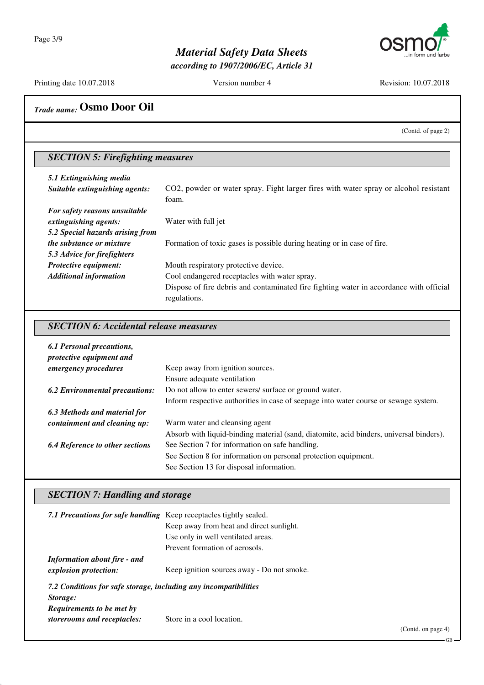

*according to 1907/2006/EC, Article 31*

Printing date 10.07.2018 Version number 4 Revision: 10.07.2018

# *Trade name:* **Osmo Door Oil**

(Contd. of page 2)

### *SECTION 5: Firefighting measures*

| 5.1 Extinguishing media          |                                                                                         |  |
|----------------------------------|-----------------------------------------------------------------------------------------|--|
| Suitable extinguishing agents:   | CO2, powder or water spray. Fight larger fires with water spray or alcohol resistant    |  |
|                                  | foam.                                                                                   |  |
| For safety reasons unsuitable    |                                                                                         |  |
| extinguishing agents:            | Water with full jet                                                                     |  |
| 5.2 Special hazards arising from |                                                                                         |  |
| <i>the substance or mixture</i>  | Formation of toxic gases is possible during heating or in case of fire.                 |  |
| 5.3 Advice for firefighters      |                                                                                         |  |
| Protective equipment:            | Mouth respiratory protective device.                                                    |  |
| <b>Additional information</b>    | Cool endangered receptacles with water spray.                                           |  |
|                                  | Dispose of fire debris and contaminated fire fighting water in accordance with official |  |
|                                  | regulations.                                                                            |  |

#### *SECTION 6: Accidental release measures*

| <b>6.1 Personal precautions,</b><br>protective equipment and |                                                                                         |
|--------------------------------------------------------------|-----------------------------------------------------------------------------------------|
| emergency procedures                                         | Keep away from ignition sources.                                                        |
|                                                              | Ensure adequate ventilation                                                             |
| <b>6.2 Environmental precautions:</b>                        | Do not allow to enter sewers/ surface or ground water.                                  |
|                                                              | Inform respective authorities in case of seepage into water course or sewage system.    |
| 6.3 Methods and material for                                 |                                                                                         |
| containment and cleaning up:                                 | Warm water and cleansing agent                                                          |
|                                                              | Absorb with liquid-binding material (sand, diatomite, acid binders, universal binders). |
| <b>6.4 Reference to other sections</b>                       | See Section 7 for information on safe handling.                                         |
|                                                              | See Section 8 for information on personal protection equipment.                         |
|                                                              | See Section 13 for disposal information.                                                |

#### *SECTION 7: Handling and storage*

| 7.1 Precautions for safe handling Keep receptacles tightly sealed. |                                            |  |
|--------------------------------------------------------------------|--------------------------------------------|--|
|                                                                    | Keep away from heat and direct sunlight.   |  |
|                                                                    | Use only in well ventilated areas.         |  |
|                                                                    | Prevent formation of aerosols.             |  |
| <b>Information about fire - and</b>                                |                                            |  |
| explosion protection:                                              | Keep ignition sources away - Do not smoke. |  |
| 7.2 Conditions for safe storage, including any incompatibilities   |                                            |  |
| Storage:                                                           |                                            |  |
| <b>Requirements to be met by</b>                                   |                                            |  |
| storerooms and receptacles:                                        | Store in a cool location.                  |  |
|                                                                    |                                            |  |

(Contd. on page 4)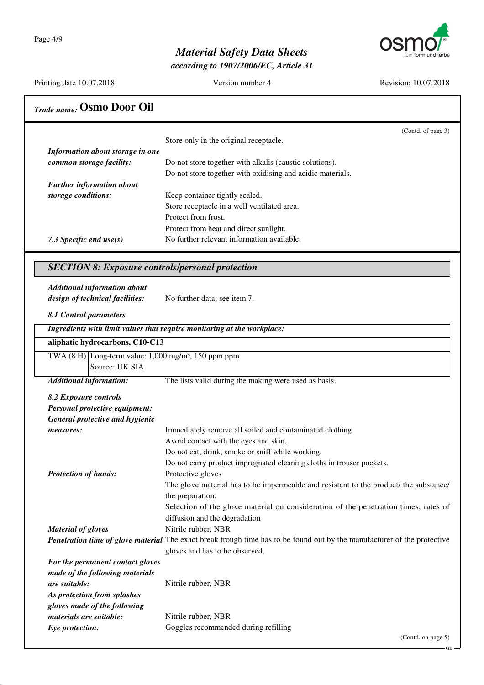Page 4/9



### *Material Safety Data Sheets*

*according to 1907/2006/EC, Article 31*

Printing date 10.07.2018 Version number 4 Revision: 10.07.2018 *Trade name:* **Osmo Door Oil** (Contd. of page 3) Store only in the original receptacle. *Information about storage in one common storage facility:* Do not store together with alkalis (caustic solutions). Do not store together with oxidising and acidic materials. *Further information about storage conditions:* Keep container tightly sealed. Store receptacle in a well ventilated area. Protect from frost. Protect from heat and direct sunlight. 7.3 Specific end use(s) No further relevant information available. *SECTION 8: Exposure controls/personal protection Additional information about design of technical facilities:* No further data; see item 7. *8.1 Control parameters Ingredients with limit values that require monitoring at the workplace:* **aliphatic hydrocarbons, C10-C13** TWA  $(8 \text{ H})$  Long-term value:  $1,000 \text{ mg/m}^3$ , 150 ppm ppm Source: UK SIA *Additional information:* The lists valid during the making were used as basis. *8.2 Exposure controls Personal protective equipment: General protective and hygienic measures:* Immediately remove all soiled and contaminated clothing Avoid contact with the eyes and skin. Do not eat, drink, smoke or sniff while working. Do not carry product impregnated cleaning cloths in trouser pockets. *Protection of hands:* Protective gloves The glove material has to be impermeable and resistant to the product/ the substance/ the preparation. Selection of the glove material on consideration of the penetration times, rates of diffusion and the degradation *Material of gloves* Nitrile rubber, NBR *Penetration time of glove material* The exact break trough time has to be found out by the manufacturer of the protective gloves and has to be observed. *For the permanent contact gloves made of the following materials are suitable:* Nitrile rubber, NBR *As protection from splashes gloves made of the following materials are suitable:* Nitrile rubber, NBR **Eye protection:** Goggles recommended during refilling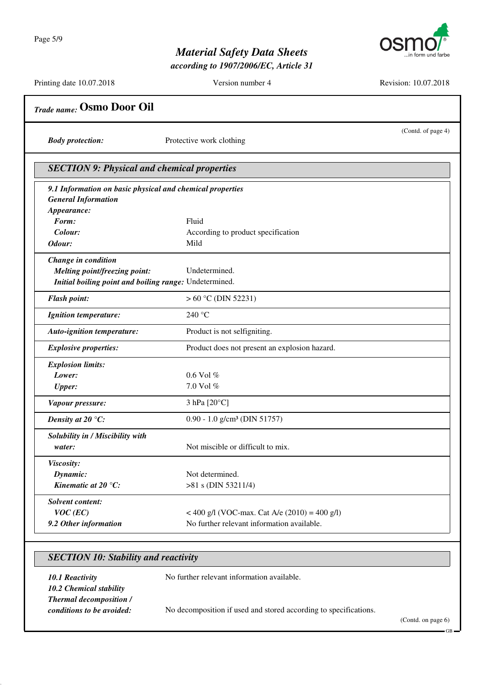

*according to 1907/2006/EC, Article 31*

Printing date 10.07.2018 Version number 4 Revision: 10.07.2018 *Trade name:* **Osmo Door Oil** (Contd. of page 4) *Body protection:* Protective work clothing *SECTION 9: Physical and chemical properties 9.1 Information on basic physical and chemical properties General Information Appearance: Form:* Fluid *Colour:* According to product specification *Odour:* Mild *Change in condition Melting point/freezing point:* Undetermined. *Initial boiling point and boiling range:* Undetermined. *Flash point:*  $> 60 \degree$ C (DIN 52231) *Ignition temperature:* 240 °C *Auto-ignition temperature:* Product is not selfigniting. **Explosive properties:** Product does not present an explosion hazard. *Explosion limits: Lower:* 0.6 Vol % *Upper:* 7.0 Vol % *Vapour pressure:* 3 hPa [20°C] *Density at 20 °C:* 0.90 - 1.0 g/cm<sup>3</sup> (DIN 51757) *Solubility in / Miscibility with water:* Not miscible or difficult to mix. *Viscosity: Dynamic:* Not determined. *Kinematic at 20 °C:*  $>81$  s (DIN 53211/4) *Solvent content: VOC (EC)* < 400 g/l (VOC-max. Cat A/e (2010) = 400 g/l) **9.2 Other information** No further relevant information available.

#### *SECTION 10: Stability and reactivity*

*10.1 Reactivity* No further relevant information available. *10.2 Chemical stability Thermal decomposition / conditions to be avoided:* No decomposition if used and stored according to specifications.

(Contd. on page 6)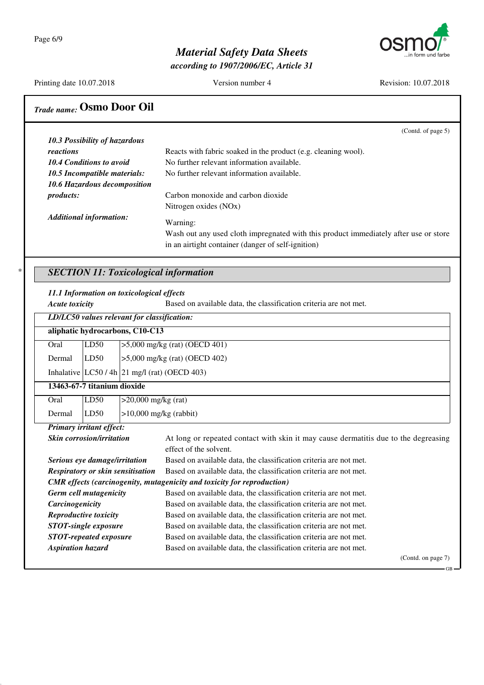

*according to 1907/2006/EC, Article 31*

Printing date 10.07.2018 Version number 4 Revision: 10.07.2018

### *Trade name:* **Osmo Door Oil**

|                                                                                                              | 10.3 Possibility of hazardous  |                                                                                                                |
|--------------------------------------------------------------------------------------------------------------|--------------------------------|----------------------------------------------------------------------------------------------------------------|
| reactions                                                                                                    |                                | Reacts with fabric soaked in the product (e.g. cleaning wool).                                                 |
| 10.4 Conditions to avoid<br>10.5 Incompatible materials:<br>10.6 Hazardous decomposition<br><i>products:</i> |                                | No further relevant information available.                                                                     |
|                                                                                                              |                                | No further relevant information available.                                                                     |
|                                                                                                              |                                |                                                                                                                |
|                                                                                                              |                                | Carbon monoxide and carbon dioxide                                                                             |
|                                                                                                              |                                | Nitrogen oxides (NOx)                                                                                          |
|                                                                                                              | <b>Additional information:</b> | Warning:                                                                                                       |
|                                                                                                              |                                | Wash out any used cloth impregnated with this product immediately after use or store                           |
|                                                                                                              |                                | in an airtight container (danger of self-ignition)                                                             |
|                                                                                                              |                                |                                                                                                                |
|                                                                                                              |                                | <b>SECTION 11: Toxicological information</b>                                                                   |
|                                                                                                              |                                |                                                                                                                |
| <b>Acute toxicity</b>                                                                                        |                                | 11.1 Information on toxicological effects<br>Based on available data, the classification criteria are not met. |
|                                                                                                              |                                | LD/LC50 values relevant for classification:                                                                    |
|                                                                                                              |                                | aliphatic hydrocarbons, C10-C13                                                                                |
| Oral                                                                                                         | LD50                           | $>5,000$ mg/kg (rat) (OECD 401)                                                                                |
| Dermal                                                                                                       | LD50                           | $>5,000$ mg/kg (rat) (OECD 402)                                                                                |
|                                                                                                              |                                | Inhalative $ LC50/4h 21$ mg/l (rat) (OECD 403)                                                                 |
|                                                                                                              | 13463-67-7 titanium dioxide    |                                                                                                                |
| Oral                                                                                                         | LD50                           | $>20,000$ mg/kg (rat)                                                                                          |

effect of the solvent. *Serious eye damage/irritation* Based on available data, the classification criteria are not met. **Respiratory or skin sensitisation** Based on available data, the classification criteria are not met.

**Germ cell mutagenicity** Based on available data, the classification criteria are not met. *Carcinogenicity* Based on available data, the classification criteria are not met. *Reproductive toxicity* Based on available data, the classification criteria are not met. *STOT-single exposure* Based on available data, the classification criteria are not met. *STOT-repeated exposure* Based on available data, the classification criteria are not met. *Aspiration hazard* Based on available data, the classification criteria are not met.

*CMR effects (carcinogenity, mutagenicity and toxicity for reproduction)*

(Contd. on page 7)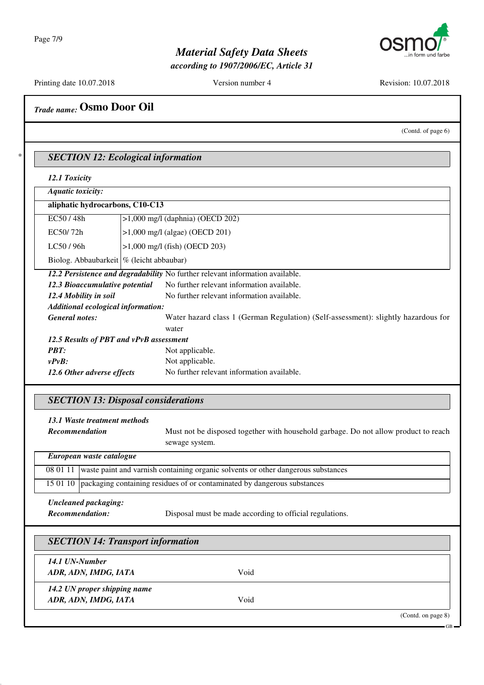

*according to 1907/2006/EC, Article 31*

Printing date 10.07.2018 Version number 4 Revision: 10.07.2018

*Trade name:* **Osmo Door Oil**

(Contd. of page 6)

\* *SECTION 12: Ecological information*

*12.1 Toxicity*

| Aquatic toxicity:                                                        |                                    |                                                                                    |  |
|--------------------------------------------------------------------------|------------------------------------|------------------------------------------------------------------------------------|--|
| aliphatic hydrocarbons, C10-C13                                          |                                    |                                                                                    |  |
| EC50/48h                                                                 | $>1,000$ mg/l (daphnia) (OECD 202) |                                                                                    |  |
| EC50/72h                                                                 |                                    | $>1,000$ mg/l (algae) (OECD 201)                                                   |  |
| LC50/96h                                                                 |                                    | $>1,000$ mg/l (fish) (OECD 203)                                                    |  |
| Biolog. Abbaubarkeit   % (leicht abbaubar)                               |                                    |                                                                                    |  |
|                                                                          |                                    | 12.2 Persistence and degradability No further relevant information available.      |  |
| 12.3 Bioaccumulative potential                                           |                                    | No further relevant information available.                                         |  |
| 12.4 Mobility in soil                                                    |                                    | No further relevant information available.                                         |  |
|                                                                          | Additional ecological information: |                                                                                    |  |
| <b>General notes:</b>                                                    |                                    | Water hazard class 1 (German Regulation) (Self-assessment): slightly hazardous for |  |
|                                                                          |                                    | water                                                                              |  |
| 12.5 Results of PBT and vPvB assessment                                  |                                    |                                                                                    |  |
| <b>PBT:</b>                                                              | Not applicable.                    |                                                                                    |  |
| $v P v B$ :                                                              |                                    | Not applicable.                                                                    |  |
| No further relevant information available.<br>12.6 Other adverse effects |                                    |                                                                                    |  |

### *SECTION 13: Disposal considerations*

| 13.1 Waste treatment methods<br><b>Recommendation</b> | Must not be disposed together with household garbage. Do not allow product to reach<br>sewage system. |
|-------------------------------------------------------|-------------------------------------------------------------------------------------------------------|
| European waste catalogue                              |                                                                                                       |
|                                                       | 08 01 11 waste paint and varnish containing organic solvents or other dangerous substances            |
|                                                       | 15 01 10   packaging containing residues of or contaminated by dangerous substances                   |

*Uncleaned packaging:*

*Recommendation:* Disposal must be made according to official regulations.

| 14.1 UN-Number               |      |  |
|------------------------------|------|--|
| ADR, ADN, IMDG, IATA         | Void |  |
| 14.2 UN proper shipping name |      |  |
| ADR, ADN, IMDG, IATA         | Void |  |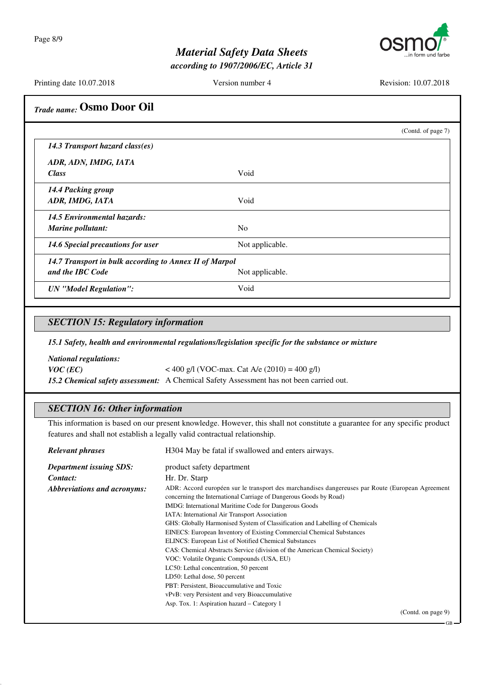Page 8/9



### *Material Safety Data Sheets*

*according to 1907/2006/EC, Article 31*

Printing date 10.07.2018 Version number 4 Revision: 10.07.2018

| <b>Trade name: Osmo Door Oil</b> |
|----------------------------------|
|                                  |

|                                                        |                 | (Contd. of page 7) |
|--------------------------------------------------------|-----------------|--------------------|
| 14.3 Transport hazard class(es)                        |                 |                    |
| ADR, ADN, IMDG, IATA                                   |                 |                    |
| <b>Class</b>                                           | Void            |                    |
| 14.4 Packing group                                     |                 |                    |
| ADR, IMDG, IATA                                        | Void            |                    |
| 14.5 Environmental hazards:                            |                 |                    |
| Marine pollutant:                                      | N <sub>o</sub>  |                    |
| 14.6 Special precautions for user                      | Not applicable. |                    |
| 14.7 Transport in bulk according to Annex II of Marpol |                 |                    |
| and the IBC Code                                       | Not applicable. |                    |
| <b>UN</b> "Model Regulation":                          | Void            |                    |

#### *SECTION 15: Regulatory information*

*15.1 Safety, health and environmental regulations/legislation specific for the substance or mixture*

*National regulations: VOC* (*EC*)  $<$  400 g/l (VOC-max. Cat A/e (2010) = 400 g/l) *15.2 Chemical safety assessment:* A Chemical Safety Assessment has not been carried out.

#### *SECTION 16: Other information*

This information is based on our present knowledge. However, this shall not constitute a guarantee for any specific product features and shall not establish a legally valid contractual relationship.

| <b>Relevant phrases</b>        | H304 May be fatal if swallowed and enters airways.                                                                                                                                                                                                                                                                                                                                                                                                                                                                                                                                                                                   |  |
|--------------------------------|--------------------------------------------------------------------------------------------------------------------------------------------------------------------------------------------------------------------------------------------------------------------------------------------------------------------------------------------------------------------------------------------------------------------------------------------------------------------------------------------------------------------------------------------------------------------------------------------------------------------------------------|--|
| <b>Department issuing SDS:</b> | product safety department                                                                                                                                                                                                                                                                                                                                                                                                                                                                                                                                                                                                            |  |
| Contact:                       | Hr. Dr. Starp                                                                                                                                                                                                                                                                                                                                                                                                                                                                                                                                                                                                                        |  |
| Abbreviations and acronyms:    | ADR: Accord européen sur le transport des marchandises dangereuses par Route (European Agreement<br>concerning the International Carriage of Dangerous Goods by Road)<br>IMDG: International Maritime Code for Dangerous Goods<br>IATA: International Air Transport Association<br>GHS: Globally Harmonised System of Classification and Labelling of Chemicals<br>EINECS: European Inventory of Existing Commercial Chemical Substances<br><b>ELINCS:</b> European List of Notified Chemical Substances<br>CAS: Chemical Abstracts Service (division of the American Chemical Society)<br>VOC: Volatile Organic Compounds (USA, EU) |  |
|                                | LC50: Lethal concentration, 50 percent<br>LD50: Lethal dose, 50 percent                                                                                                                                                                                                                                                                                                                                                                                                                                                                                                                                                              |  |
|                                | PBT: Persistent, Bioaccumulative and Toxic                                                                                                                                                                                                                                                                                                                                                                                                                                                                                                                                                                                           |  |
|                                | vPvB: very Persistent and very Bioaccumulative                                                                                                                                                                                                                                                                                                                                                                                                                                                                                                                                                                                       |  |
|                                | Asp. Tox. 1: Aspiration hazard – Category 1                                                                                                                                                                                                                                                                                                                                                                                                                                                                                                                                                                                          |  |
|                                | (Contd. on page 9)                                                                                                                                                                                                                                                                                                                                                                                                                                                                                                                                                                                                                   |  |